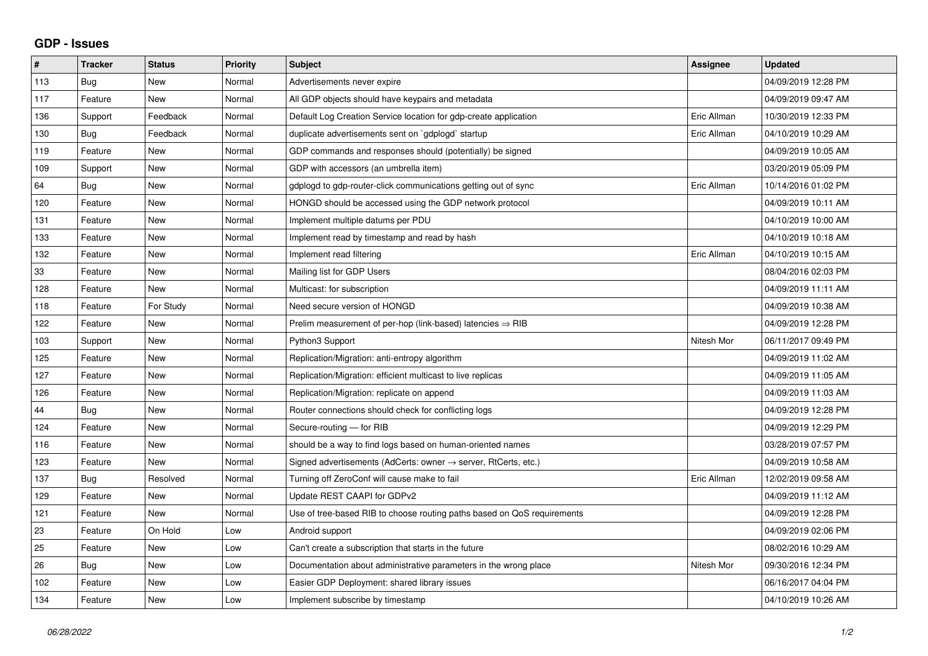## **GDP - Issues**

| #   | <b>Tracker</b> | <b>Status</b> | <b>Priority</b> | <b>Subject</b>                                                             | Assignee    | <b>Updated</b>      |
|-----|----------------|---------------|-----------------|----------------------------------------------------------------------------|-------------|---------------------|
| 113 | Bug            | <b>New</b>    | Normal          | Advertisements never expire                                                |             | 04/09/2019 12:28 PM |
| 117 | Feature        | <b>New</b>    | Normal          | All GDP objects should have keypairs and metadata                          |             | 04/09/2019 09:47 AM |
| 136 | Support        | Feedback      | Normal          | Default Log Creation Service location for gdp-create application           | Eric Allman | 10/30/2019 12:33 PM |
| 130 | Bug            | Feedback      | Normal          | duplicate advertisements sent on `gdplogd` startup                         | Eric Allman | 04/10/2019 10:29 AM |
| 119 | Feature        | <b>New</b>    | Normal          | GDP commands and responses should (potentially) be signed                  |             | 04/09/2019 10:05 AM |
| 109 | Support        | <b>New</b>    | Normal          | GDP with accessors (an umbrella item)                                      |             | 03/20/2019 05:09 PM |
| 64  | Bug            | <b>New</b>    | Normal          | gdplogd to gdp-router-click communications getting out of sync             | Eric Allman | 10/14/2016 01:02 PM |
| 120 | Feature        | <b>New</b>    | Normal          | HONGD should be accessed using the GDP network protocol                    |             | 04/09/2019 10:11 AM |
| 131 | Feature        | <b>New</b>    | Normal          | Implement multiple datums per PDU                                          |             | 04/10/2019 10:00 AM |
| 133 | Feature        | <b>New</b>    | Normal          | Implement read by timestamp and read by hash                               |             | 04/10/2019 10:18 AM |
| 132 | Feature        | <b>New</b>    | Normal          | Implement read filtering                                                   | Eric Allman | 04/10/2019 10:15 AM |
| 33  | Feature        | <b>New</b>    | Normal          | Mailing list for GDP Users                                                 |             | 08/04/2016 02:03 PM |
| 128 | Feature        | <b>New</b>    | Normal          | Multicast: for subscription                                                |             | 04/09/2019 11:11 AM |
| 118 | Feature        | For Study     | Normal          | Need secure version of HONGD                                               |             | 04/09/2019 10:38 AM |
| 122 | Feature        | <b>New</b>    | Normal          | Prelim measurement of per-hop (link-based) latencies $\Rightarrow$ RIB     |             | 04/09/2019 12:28 PM |
| 103 | Support        | <b>New</b>    | Normal          | Python3 Support                                                            | Nitesh Mor  | 06/11/2017 09:49 PM |
| 125 | Feature        | <b>New</b>    | Normal          | Replication/Migration: anti-entropy algorithm                              |             | 04/09/2019 11:02 AM |
| 127 | Feature        | <b>New</b>    | Normal          | Replication/Migration: efficient multicast to live replicas                |             | 04/09/2019 11:05 AM |
| 126 | Feature        | <b>New</b>    | Normal          | Replication/Migration: replicate on append                                 |             | 04/09/2019 11:03 AM |
| 44  | Bug            | <b>New</b>    | Normal          | Router connections should check for conflicting logs                       |             | 04/09/2019 12:28 PM |
| 124 | Feature        | <b>New</b>    | Normal          | Secure-routing - for RIB                                                   |             | 04/09/2019 12:29 PM |
| 116 | Feature        | <b>New</b>    | Normal          | should be a way to find logs based on human-oriented names                 |             | 03/28/2019 07:57 PM |
| 123 | Feature        | <b>New</b>    | Normal          | Signed advertisements (AdCerts: owner $\rightarrow$ server, RtCerts, etc.) |             | 04/09/2019 10:58 AM |
| 137 | Bug            | Resolved      | Normal          | Turning off ZeroConf will cause make to fail                               | Eric Allman | 12/02/2019 09:58 AM |
| 129 | Feature        | <b>New</b>    | Normal          | Update REST CAAPI for GDPv2                                                |             | 04/09/2019 11:12 AM |
| 121 | Feature        | New           | Normal          | Use of tree-based RIB to choose routing paths based on QoS requirements    |             | 04/09/2019 12:28 PM |
| 23  | Feature        | On Hold       | Low             | Android support                                                            |             | 04/09/2019 02:06 PM |
| 25  | Feature        | <b>New</b>    | Low             | Can't create a subscription that starts in the future                      |             | 08/02/2016 10:29 AM |
| 26  | <b>Bug</b>     | <b>New</b>    | Low             | Documentation about administrative parameters in the wrong place           | Nitesh Mor  | 09/30/2016 12:34 PM |
| 102 | Feature        | <b>New</b>    | Low             | Easier GDP Deployment: shared library issues                               |             | 06/16/2017 04:04 PM |
| 134 | Feature        | <b>New</b>    | Low             | Implement subscribe by timestamp                                           |             | 04/10/2019 10:26 AM |